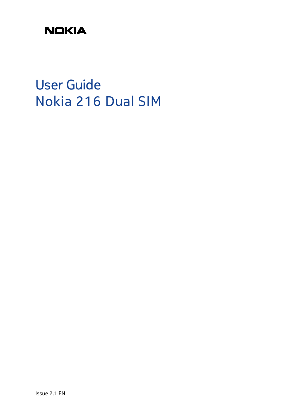# **NOKIA**

User Guide Nokia 216 Dual SIM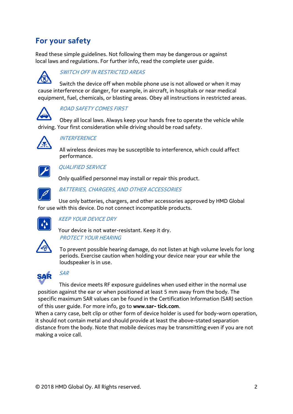# **For your safety**

Read these simple guidelines. Not following them may be dangerous or against local laws and regulations. For further info, read the complete user guide.



### SWITCH OFF IN RESTRICTED AREAS

Switch the device off when mobile phone use is not allowed or when it may cause interference or danger, for example, in aircraft, in hospitals or near medical equipment, fuel, chemicals, or blasting areas. Obey all instructions in restricted areas.



### ROAD SAFETY COMES FIRST

Obey all local laws. Always keep your hands free to operate the vehicle while driving. Your first consideration while driving should be road safety.



# **INTERFERENCE**

All wireless devices may be susceptible to interference, which could affect performance.



### QUALIFIED SERVICE

Only qualified personnel may install or repair this product.



### BATTERIES, CHARGERS, AND OTHER ACCESSORIES

Use only batteries, chargers, and other accessories approved by HMD Global for use with this device. Do not connect incompatible products.



# KEEP YOUR DEVICE DRY

Your device is not water-resistant. Keep it dry. PROTECT YOUR HEARING



To prevent possible hearing damage, do not listen at high volume levels for long periods. Exercise caution when holding your device near your ear while the loudspeaker is in use.



# SAR

This device meets RF exposure guidelines when used either in the normal use position against the ear or when positioned at least 5 mm away from the body. The specific maximum SAR values can be found in the Certification Information (SAR) section of this user guide. For more info, go to **www.sar- tick.com**.

When a carry case, belt clip or other form of device holder is used for body-worn operation, it should not contain metal and should provide at least the above-stated separation distance from the body. Note that mobile devices may be transmitting even if you are not making a voice call.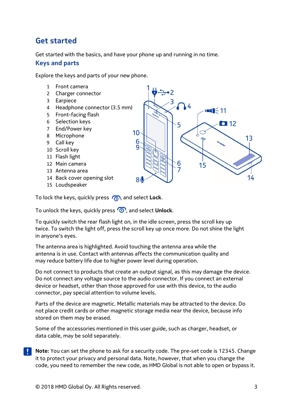# **Get started**

Get started with the basics, and have your phone up and running in no time.

### **Keys and parts**

Explore the keys and parts of your new phone.

- 1 Front camera
- 2 Charger connector
- 3 Earpiece
- 4 Headphone connector (3.5 mm)
- 5 Front-facing flash
- 6 Selection keys
- 7 End/Power key
- 8 Microphone
- 9 Call key
- 10 Scroll key
- 11 Flash light
- 12 Main camera
- 13 Antenna area
- 14 Back cover opening slot
- 15 Loudspeaker

To lock the keys, quickly press  $\bigcirc$ , and select **Lock**.

To unlock the keys, quickly press  $\circled{0}$ , and select **Unlock**.

To quickly switch the rear flash light on, in the idle screen, press the scroll key up twice. To switch the light off, press the scroll key up once more. Do not shine the light in anyone's eyes.

The antenna area is highlighted. Avoid touching the antenna area while the antenna is in use. Contact with antennas affects the communication quality and may reduce battery life due to higher power level during operation.

Do not connect to products that create an output signal, as this may damage the device. Do not connect any voltage source to the audio connector. If you connect an external device or headset, other than those approved for use with this device, to the audio connector, pay special attention to volume levels.

Parts of the device are magnetic. Metallic materials may be attracted to the device. Do not place credit cards or other magnetic storage media near the device, because info stored on them may be erased.

Some of the accessories mentioned in this user guide, such as charger, headset, or data cable, may be sold separately.

**Note:** You can set the phone to ask for a security code. The pre-set code is 12345. Change it to protect your privacy and personal data. Note, however, that when you change the code, you need to remember the new code, as HMD Global is not able to open or bypass it.

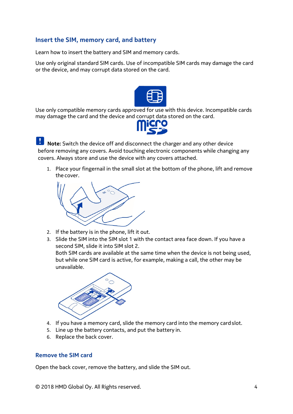# **Insert the SIM, memory card, and battery**

Learn how to insert the battery and SIM and memory cards.

Use only original standard SIM cards. Use of incompatible SIM cards may damage the card or the device, and may corrupt data stored on the card.



Use only compatible memory cards approved for use with this device. Incompatible cards may damage the card and the device and corrupt data stored on the card.



**Note:** Switch the device off and disconnect the charger and any other device before removing any covers. Avoid touching electronic components while changing any covers. Always store and use the device with any covers attached.

1. Place your fingernail in the small slot at the bottom of the phone, lift and remove the cover.



- 2. If the battery is in the phone, lift it out.
- 3. Slide the SIM into the SIM slot 1 with the contact area face down. If you have a second SIM, slide it into SIM slot 2.

Both SIM cards are available at the same time when the device is not being used, but while one SIM card is active, for example, making a call, the other may be unavailable.



- 4. If you have a memory card, slide the memory card into the memory cardslot.
- 5. Line up the battery contacts, and put the battery in.
- 6. Replace the back cover.

# **Remove the SIM card**

Open the back cover, remove the battery, and slide the SIM out.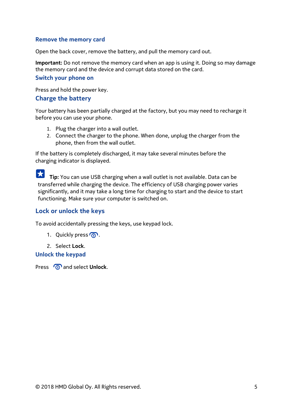### **Remove the memory card**

Open the back cover, remove the battery, and pull the memory card out.

**Important:** Do not remove the memory card when an app is using it. Doing so may damage the memory card and the device and corrupt data stored on the card.

#### **Switch your phone on**

Press and hold the power key.

#### **Charge the battery**

Your battery has been partially charged at the factory, but you may need to recharge it before you can use your phone.

- 1. Plug the charger into a wall outlet.
- 2. Connect the charger to the phone. When done, unplug the charger from the phone, then from the wall outlet.

If the battery is completely discharged, it may take several minutes before the charging indicator is displayed.

**Tip:** You can use USB charging when a wall outlet is not available. Data can be transferred while charging the device. The efficiency of USB charging power varies significantly, and it may take a long time for charging to start and the device to start functioning. Make sure your computer is switched on.

### **Lock or unlock the keys**

To avoid accidentally pressing the keys, use keypad lock.

- 1. Quickly press  $\mathbb{Q}$ .
- 2. Select **Lock**.

#### **Unlock the keypad**

Press and select **Unlock**.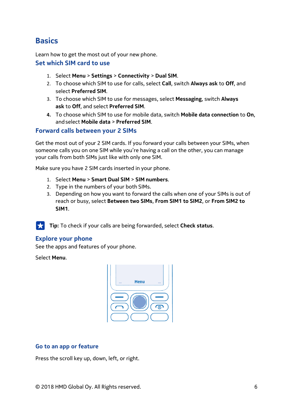# **Basics**

Learn how to get the most out of your new phone.

### **Set which SIM card to use**

- 1. Select **Menu** > **Settings** > **Connectivity** > **Dual SIM**.
- 2. To choose which SIM to use for calls, select **Call**, switch **Always ask** to **Off**, and select **Preferred SIM**.
- 3. To choose which SIM to use for messages, select **Messaging**, switch **Always ask** to **Off**, and select **Preferred SIM**.
- **4.** To choose which SIM to use for mobile data, switch **Mobile data connection** to **On**, andselect **Mobile data** > **Preferred SIM**.

# **Forward calls between your 2 SIMs**

Get the most out of your 2 SIM cards. If you forward your calls between your SIMs, when someone calls you on one SIM while you're having a call on the other, you can manage your calls from both SIMs just like with only one SIM.

Make sure you have 2 SIM cards inserted in your phone.

- 1. Select **Menu** > **Smart Dual SIM** > **SIM numbers**.
- 2. Type in the numbers of your both SIMs.
- 3. Depending on how you want to forward the calls when one of your SIMs is out of reach or busy, select **Between two SIMs**, **From SIM1 to SIM2**, or **From SIM2 to SIM1**.

**Tip:** To check if your calls are being forwarded, select **Check status**.

# **Explore your phone**

See the apps and features of your phone.

Select **Menu**.



### **Go to an app or feature**

Press the scroll key up, down, left, or right.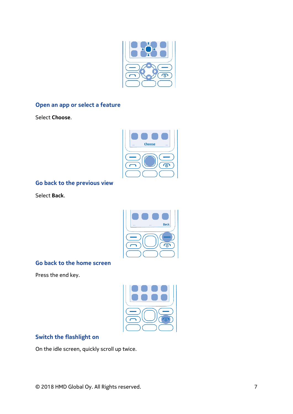

# **Open an app or select a feature**

Select **Choose**.



# **Go back to the previous view**

Select **Back**.



# **Go back to the home screen**

Press the end key.



# **Switch the flashlight on**

On the idle screen, quickly scroll up twice.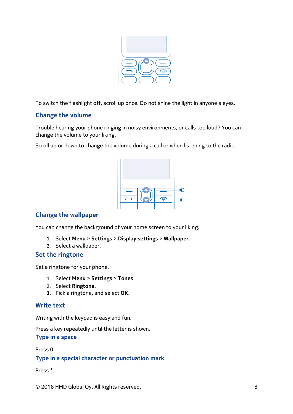

To switch the flashlight off, scroll up once. Do not shine the light in anyone's eyes.

# **Change the volume**

Trouble hearing your phone ringing in noisy environments, or calls too loud? You can change the volume to your liking.

Scroll up or down to change the volume during a call or when listening to the radio.



# **Change the wallpaper**

You can change the background of your home screen to your liking.

- 1. Select **Menu** > **Settings** > **Display settings** > **Wallpaper**.
- 2. Select a wallpaper.

# **Set the ringtone**

Set a ringtone for your phone.

- 1. Select **Menu** > **Settings** > **Tones**.
- 2. Select **Ringtone**.
- **3.** Pick a ringtone, and select **OK.**

# **Write text**

Writing with the keypad is easy and fun.

Press a key repeatedly until the letter is shown.

**Type in a space**

Press **0**.

**Type in a special character or punctuation mark**

Press **\***.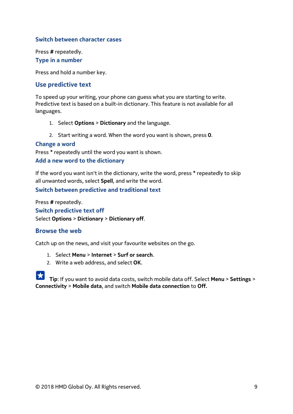### **Switch between character cases**

Press **#** repeatedly. **Type in a number**

Press and hold a number key.

### **Use predictive text**

To speed up your writing, your phone can guess what you are starting to write. Predictive text is based on a built-in dictionary. This feature is not available for all languages.

- 1. Select **Options** > **Dictionary** and the language.
- 2. Start writing a word. When the word you want is shown, press **0**.

#### **Change a word**

Press **\*** repeatedly until the word you want is shown.

#### **Add a new word to the dictionary**

If the word you want isn't in the dictionary, write the word, press **\*** repeatedly to skip all unwanted words, select **Spell**, and write the word.

**Switch between predictive and traditional text**

Press **#** repeatedly. **Switch predictive text off** Select **Options** > **Dictionary** > **Dictionary off**.

### **Browse the web**

Catch up on the news, and visit your favourite websites on the go.

- 1. Select **Menu** > **Internet** > **Surf or search**.
- 2. Write a web address, and select **OK**.

**Tip**: If you want to avoid data costs, switch mobile data off. Select **Menu** > **Settings** > **Connectivity** > **Mobile data**, and switch **Mobile data connection** to **Off.**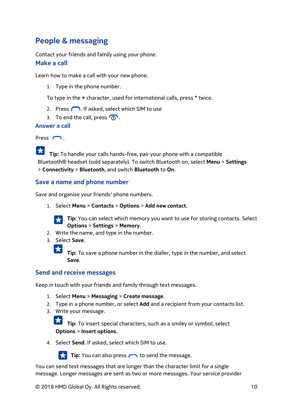# **People & messaging**

Contact your friends and family using your phone. **Make a call**

Learn how to make a call with your new phone.

1. Type in the phone number.

To type in the **+** character, used for international calls, press **\*** twice.

- 2. Press  $\bigcap$ . If asked, select which SIM to use
- 3. To end the call, press  $\mathbb{Q}$ .

### **Answer a call**

Press  $\bigcap$ .

 $|\mathbf{x}|$ **Tip:** To handle your calls hands-free, pair your phone with a compatible Bluetooth® headset (sold separately). To switch Bluetooth on, select **Menu** > **Settings**  > **Connectivity** > **Bluetooth**, and switch **Bluetooth** to **On**.

# **Save a name and phone number**

Save and organise your friends' phone numbers.

1. Select **Menu** > **Contacts** > **Options** > **Add new contact**.



 $\bigstar$ 

**Tip:** You can select which memory you want to use for storing contacts. Select **Options** > **Settings** > **Memory**.

- 2. Write the name, and type in the number.
- 3. Select **Save**.

**Tip:** To save a phone number in the dialler, type in the number, and select **Save**.

# **Send and receive messages**

Keep in touch with your friends and family through text messages.

- 1. Select **Menu** > **Messaging** > **Create message**.
- 2. Type in a phone number, or select **Add** and a recipient from your contacts list.
- 3. Write your message.

**Tip:** To insert special characters, such as a smiley or symbol, select **Options** > **Insert options**.

4. Select **Send**. If asked, select which SIM to use.



**Tip:** You can also press **now** to send the message.

You can send text messages that are longer than the character limit for a single message. Longer messages are sent as two or more messages. Your service provider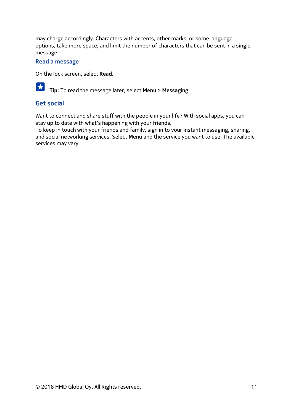may charge accordingly. Characters with accents, other marks, or some language options, take more space, and limit the number of characters that can be sent in a single message.

#### **Read a message**

On the lock screen, select **Read**.



# **Get social**

Want to connect and share stuff with the people in your life? With social apps, you can stay up to date with what's happening with your friends.

To keep in touch with your friends and family, sign in to your instant messaging, sharing, and social networking services. Select **Menu** and the service you want to use. The available services may vary.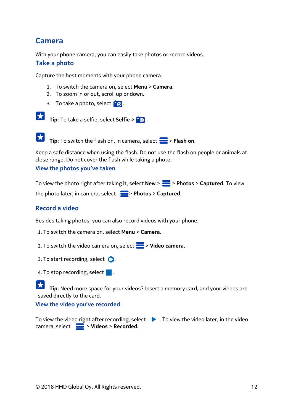# **Camera**

With your phone camera, you can easily take photos or record videos.

### **Take a photo**

Capture the best moments with your phone camera.

- 1. To switch the camera on, select **Menu** > **Camera**.
- 2. To zoom in or out, scroll up or down.
- 3. To take a photo, select  $\Box$ .



**Tip:** To take a selfie, select **Selfie > 0.** 

**Tip:** To switch the flash on, in camera, select > **Flash on**.

Keep a safe distance when using the flash. Do not use the flash on people or animals at close range. Do not cover the flash while taking a photo.

### **View the photos you've taken**

To view the photo right after taking it, select **New** > > **Photos** > **Captured**. To view the photo later, in camera, select > **Photos** > **Captured**.

# **Record a video**

Besides taking photos, you can also record videos with your phone.

- 1. To switch the camera on, select **Menu** > **Camera**.
- 2. To switch the video camera on, select > **Video camera**.
- 3. To start recording, select  $\bullet$ .
- 4. To stop recording, select .

 $\vert \star \vert$ **Tip:** Need more space for your videos? Insert a memory card, and your videos are saved directly to the card.

### **View the video you've recorded**

To view the video right after recording, select  $\blacktriangleright$  . To view the video later, in the video camera, select > **Videos** > **Recorded.**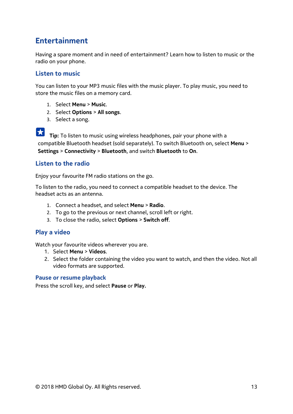# **Entertainment**

Having a spare moment and in need of entertainment? Learn how to listen to music or the radio on your phone.

# **Listen to music**

You can listen to your MP3 music files with the music player. To play music, you need to store the music files on a memory card.

- 1. Select **Menu** > **Music**.
- 2. Select **Options** > **All songs**.
- 3. Select a song.

**Tip:** To listen to music using wireless headphones, pair your phone with a compatible Bluetooth headset (sold separately). To switch Bluetooth on, select **Menu** > **Settings** > **Connectivity** > **Bluetooth**, and switch **Bluetooth** to **On**.

# **Listen to the radio**

Enjoy your favourite FM radio stations on the go.

To listen to the radio, you need to connect a compatible headset to the device. The headset acts as an antenna.

- 1. Connect a headset, and select **Menu** > **Radio**.
- 2. To go to the previous or next channel, scroll left or right.
- 3. To close the radio, select **Options** > **Switch off**.

# **Play a video**

Watch your favourite videos wherever you are.

- 1. Select **Menu** > **Videos**.
- 2. Select the folder containing the video you want to watch, and then the video. Not all video formats are supported.

#### **Pause or resume playback**

Press the scroll key, and select **Pause** or **Play.**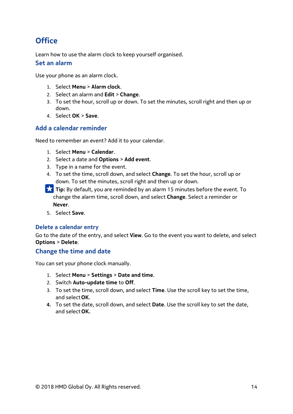# **Office**

Learn how to use the alarm clock to keep yourself organised.

### **Set an alarm**

Use your phone as an alarm clock.

- 1. Select **Menu** > **Alarm clock**.
- 2. Select an alarm and **Edit** > **Change**.
- 3. To set the hour, scroll up or down. To set the minutes, scroll right and then up or down.
- 4. Select **OK** > **Save**.

# **Add a calendar reminder**

Need to remember an event? Add it to your calendar.

- 1. Select **Menu** > **Calendar**.
- 2. Select a date and **Options** > **Add event**.
- 3. Type in a name for the event.
- 4. To set the time, scroll down, and select **Change**. To set the hour, scroll up or down. To set the minutes, scroll right and then up or down.
- **Tip:** By default, you are reminded by an alarm 15 minutes before the event. To change the alarm time, scroll down, and select **Change**. Select a reminder or **Never**.
- 5. Select **Save**.

### **Delete a calendar entry**

Go to the date of the entry, and select **View**. Go to the event you want to delete, and select **Options** > **Delete**.

# **Change the time and date**

You can set your phone clock manually.

- 1. Select **Menu** > **Settings** > **Date and time**.
- 2. Switch **Auto-update time** to **Off**.
- 3. To set the time, scroll down, and select **Time**. Use the scroll key to set the time, and select**OK**.
- **4.** To set the date, scroll down, and select **Date**. Use the scroll key to set the date, and select**OK.**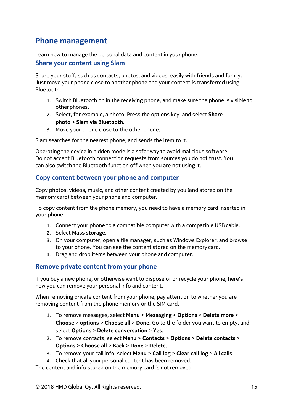# **Phone management**

Learn how to manage the personal data and content in your phone.

### **Share your content using Slam**

Share your stuff, such as contacts, photos, and videos, easily with friends and family. Just move your phone close to another phone and your content is transferred using Bluetooth.

- 1. Switch Bluetooth on in the receiving phone, and make sure the phone is visible to other phones.
- 2. Select, for example, a photo. Press the options key, and select **Share photo** > **Slam via Bluetooth**.
- 3. Move your phone close to the other phone.

Slam searches for the nearest phone, and sends the item to it.

Operating the device in hidden mode is a safer way to avoid malicious software. Do not accept Bluetooth connection requests from sources you do not trust. You can also switch the Bluetooth function off when you are not using it.

# **Copy content between your phone and computer**

Copy photos, videos, music, and other content created by you (and stored on the memory card) between your phone and computer.

To copy content from the phone memory, you need to have a memory card inserted in your phone.

- 1. Connect your phone to a compatible computer with a compatible USB cable.
- 2. Select **Mass storage**.
- 3. On your computer, open a file manager, such as Windows Explorer, and browse to your phone. You can see the content stored on the memory card.
- 4. Drag and drop items between your phone and computer.

# **Remove private content from your phone**

If you buy a new phone, or otherwise want to dispose of or recycle your phone, here's how you can remove your personal info and content.

When removing private content from your phone, pay attention to whether you are removing content from the phone memory or the SIM card.

- 1. To remove messages, select **Menu** > **Messaging** > **Options** > **Delete more** > **Choose** > **options** > **Choose all** > **Done**. Go to the folder you want to empty, and select **Options** > **Delete conversation** > **Yes**.
- 2. To remove contacts, select **Menu** > **Contacts** > **Options** > **Delete contacts** > **Options** > **Choose all** > **Back** > **Done** > **Delete**.
- 3. To remove your call info, select **Menu** > **Call log** > **Clear call log** > **All calls**.
- 4. Check that all your personal content has been removed.

The content and info stored on the memory card is notremoved.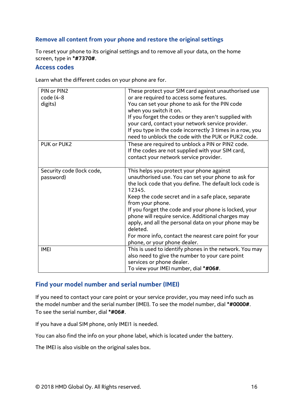# **Remove all content from your phone and restore the original settings**

To reset your phone to its original settings and to remove all your data, on the home screen, type in **\*#7370#**.

#### **Access codes**

Learn what the different codes on your phone are for.

| PIN or PIN2               | These protect your SIM card against unauthorised use                   |
|---------------------------|------------------------------------------------------------------------|
| code (4-8                 | or are required to access some features.                               |
| digits)                   | You can set your phone to ask for the PIN code                         |
|                           | when you switch it on.                                                 |
|                           | If you forget the codes or they aren't supplied with                   |
|                           | your card, contact your network service provider.                      |
|                           | If you type in the code incorrectly 3 times in a row, you              |
|                           | need to unblock the code with the PUK or PUK2 code.                    |
| PUK or PUK2               | These are required to unblock a PIN or PIN2 code.                      |
|                           | If the codes are not supplied with your SIM card,                      |
|                           | contact your network service provider.                                 |
|                           |                                                                        |
| Security code (lock code, | This helps you protect your phone against                              |
| password)                 | unauthorised use. You can set your phone to ask for                    |
|                           | the lock code that you define. The default lock code is                |
|                           | 12345.                                                                 |
|                           | Keep the code secret and in a safe place, separate<br>from your phone. |
|                           | If you forget the code and your phone is locked, your                  |
|                           | phone will require service. Additional charges may                     |
|                           | apply, and all the personal data on your phone may be                  |
|                           | deleted.                                                               |
|                           | For more info, contact the nearest care point for your                 |
|                           | phone, or your phone dealer.                                           |
| <b>IMEI</b>               | This is used to identify phones in the network. You may                |
|                           | also need to give the number to your care point                        |
|                           | services or phone dealer.                                              |
|                           | To view your IMEI number, dial *#06#.                                  |

# **Find your model number and serial number (IMEI)**

If you need to contact your care point or your service provider, you may need info such as the model number and the serial number (IMEI). To see the model number, dial **\*#0000#**. To see the serial number, dial **\*#06#**.

If you have a dual SIM phone, only IMEI1 is needed.

You can also find the info on your phone label, which is located under the battery.

The IMEI is also visible on the original sales box.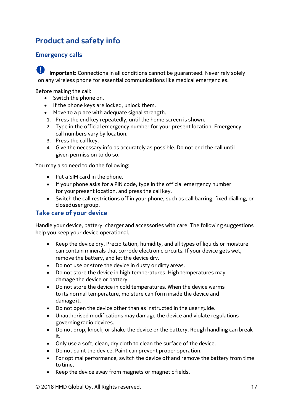# **Product and safety info**

# **Emergency calls**

**Important:** Connections in all conditions cannot be guaranteed. Never rely solely on any wireless phone for essential communications like medical emergencies.

Before making the call:

- Switch the phone on.
- If the phone keys are locked, unlock them.
- Move to a place with adequate signal strength.
- 1. Press the end key repeatedly, until the home screen is shown.
- 2. Type in the official emergency number for your present location. Emergency call numbers vary by location.
- 3. Press the call key.
- 4. Give the necessary info as accurately as possible. Do not end the call until given permission to do so.

You may also need to do the following:

- Put a SIM card in the phone.
- If your phone asks for a PIN code, type in the official emergency number for yourpresent location, and press the call key.
- Switch the call restrictions off in your phone, such as call barring, fixed dialling, or closeduser group.

# **Take care of your device**

Handle your device, battery, charger and accessories with care. The following suggestions help you keep your device operational.

- Keep the device dry. Precipitation, humidity, and all types of liquids or moisture can contain minerals that corrode electronic circuits. If your device gets wet, remove the battery, and let the device dry.
- Do not use or store the device in dusty or dirty areas.
- Do not store the device in high temperatures. High temperatures may damage the device or battery.
- Do not store the device in cold temperatures. When the device warms to its normal temperature, moisture can form inside the device and damage it.
- Do not open the device other than as instructed in the user guide.
- Unauthorised modifications may damage the device and violate regulations governingradio devices.
- Do not drop, knock, or shake the device or the battery. Rough handling can break it.
- Only use a soft, clean, dry cloth to clean the surface of the device.
- Do not paint the device. Paint can prevent proper operation.
- For optimal performance, switch the device off and remove the battery from time to time.
- Keep the device away from magnets or magnetic fields.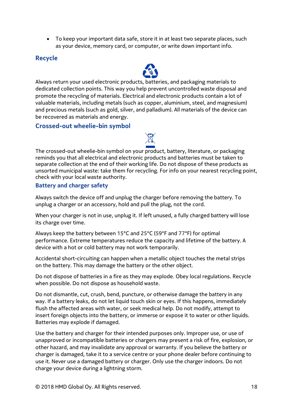• To keep your important data safe, store it in at least two separate places, such as your device, memory card, or computer, or write down important info.

# **Recycle**



### **Crossed-out wheelie-bin symbol**

The crossed-out wheelie-bin symbol on your product, battery, literature, or packaging reminds you that all electrical and electronic products and batteries must be taken to separate collection at the end of their working life. Do not dispose of these products as unsorted municipal waste: take them for recycling. For info on your nearest recycling point, check with your local waste authority.

#### **Battery and charger safety**

Always switch the device off and unplug the charger before removing the battery. To unplug a charger or an accessory, hold and pull the plug, not the cord.

When your charger is not in use, unplug it. If left unused, a fully charged battery will lose its charge over time.

Always keep the battery between 15°C and 25°C (59°F and 77°F) for optimal performance. Extreme temperatures reduce the capacity and lifetime of the battery. A device with a hot or cold battery may not work temporarily.

Accidental short-circuiting can happen when a metallic object touches the metal strips on the battery. This may damage the battery or the other object.

Do not dispose of batteries in a fire as they may explode. Obey local regulations. Recycle when possible. Do not dispose as household waste.

Do not dismantle, cut, crush, bend, puncture, or otherwise damage the battery in any way. If a battery leaks, do not let liquid touch skin or eyes. If this happens, immediately flush the affected areas with water, or seek medical help. Do not modify, attempt to insert foreign objects into the battery, or immerse or expose it to water or other liquids. Batteries may explode if damaged.

Use the battery and charger for their intended purposes only. Improper use, or use of unapproved or incompatible batteries or chargers may present a risk of fire, explosion, or other hazard, and may invalidate any approval or warranty. If you believe the battery or charger is damaged, take it to a service centre or your phone dealer before continuing to use it. Never use a damaged battery or charger. Only use the charger indoors. Do not charge your device during a lightning storm.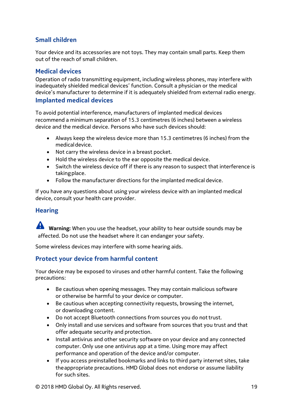# **Small children**

Your device and its accessories are not toys. They may contain small parts. Keep them out of the reach of small children.

# **Medical devices**

Operation of radio transmitting equipment, including wireless phones, may interfere with inadequately shielded medical devices' function. Consult a physician or the medical device's manufacturer to determine if it is adequately shielded from external radio energy. **Implanted medical devices**

To avoid potential interference, manufacturers of implanted medical devices recommend a minimum separation of 15.3 centimetres (6 inches) between a wireless device and the medical device. Persons who have such devices should:

- Always keep the wireless device more than 15.3 centimetres (6 inches) from the medical device.
- Not carry the wireless device in a breast pocket.
- Hold the wireless device to the ear opposite the medical device.
- Switch the wireless device off if there is any reason to suspect that interference is takingplace.
- Follow the manufacturer directions for the implanted medical device.

If you have any questions about using your wireless device with an implanted medical device, consult your health care provider.

# **Hearing**

**Warning:** When you use the headset, your ability to hear outside sounds may be affected. Do not use the headset where it can endanger your safety.

Some wireless devices may interfere with some hearing aids.

# **Protect your device from harmful content**

Your device may be exposed to viruses and other harmful content. Take the following precautions:

- Be cautious when opening messages. They may contain malicious software or otherwise be harmful to your device or computer.
- Be cautious when accepting connectivity requests, browsing the internet, or downloading content.
- Do not accept Bluetooth connections from sources you do not trust.
- Only install and use services and software from sources that you trust and that offer adequate security and protection.
- Install antivirus and other security software on your device and any connected computer. Only use one antivirus app at a time. Using more may affect performance and operation of the device and/or computer.
- If you access preinstalled bookmarks and links to third party internet sites, take theappropriate precautions. HMD Global does not endorse or assume liability for such sites.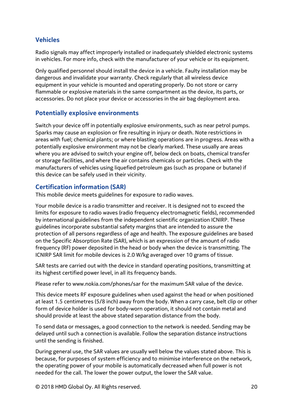# **Vehicles**

Radio signals may affect improperly installed or inadequately shielded electronic systems in vehicles. For more info, check with the manufacturer of your vehicle or its equipment.

Only qualified personnel should install the device in a vehicle. Faulty installation may be dangerous and invalidate your warranty. Check regularly that all wireless device equipment in your vehicle is mounted and operating properly. Do not store or carry flammable or explosive materials in the same compartment as the device, its parts, or accessories. Do not place your device or accessories in the air bag deployment area.

# **Potentially explosive environments**

Switch your device off in potentially explosive environments, such as near petrol pumps. Sparks may cause an explosion or fire resulting in injury or death. Note restrictions in areas with fuel; chemical plants; or where blasting operations are in progress. Areas with a potentially explosive environment may not be clearly marked. These usually are areas where you are advised to switch your engine off, below deck on boats, chemical transfer or storage facilities, and where the air contains chemicals or particles. Check with the manufacturers of vehicles using liquefied petroleum gas (such as propane or butane) if this device can be safely used in their vicinity.

# **Certification information (SAR)**

This mobile device meets guidelines for exposure to radio waves.

Your mobile device is a radio transmitter and receiver. It is designed not to exceed the limits for exposure to radio waves (radio frequency electromagnetic fields), recommended by international guidelines from the independent scientific organization ICNIRP. These guidelines incorporate substantial safety margins that are intended to assure the protection of all persons regardless of age and health. The exposure guidelines are based on the Specific Absorption Rate (SAR), which is an expression of the amount of radio frequency (RF) power deposited in the head or body when the device is transmitting. The ICNIRP SAR limit for mobile devices is 2.0 W/kg averaged over 10 grams of tissue.

SAR tests are carried out with the device in standard operating positions, transmitting at its highest certified power level, in all its frequency bands.

Please refer to www.nokia.com/phones/sar for the maximum SAR value of the device.

This device meets RF exposure guidelines when used against the head or when positioned at least 1.5 centimetres (5/8 inch) away from the body. When a carry case, belt clip or other form of device holder is used for body-worn operation, it should not contain metal and should provide at least the above stated separation distance from the body.

To send data or messages, a good connection to the network is needed. Sending may be delayed until such a connection is available. Follow the separation distance instructions until the sending is finished.

During general use, the SAR values are usually well below the values stated above. This is because, for purposes of system efficiency and to minimise interference on the network, the operating power of your mobile is automatically decreased when full power is not needed for the call. The lower the power output, the lower the SAR value.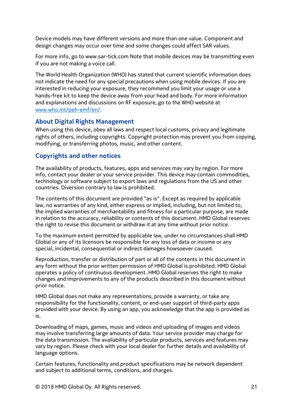Device models may have different versions and more than one value. Component and design changes may occur over time and some changes could affect SAR values.

For more info, go to www.sar-tick.com Note that mobile devices may be transmitting even if you are not making a voice call.

The World Health Organization (WHO) has stated that current scientific information does not indicate the need for any special precautions when using mobile devices. If you are interested in reducing your exposure, they recommend you limit your usage or use a hands-free kit to keep the device away from your head and body. For more information and explanations and discussions on RF exposure, go to the WHO website at [www.who.int/peh-emf/en/.](http://www.who.int/peh-emf/en/)

# **About Digital Rights Management**

When using this device, obey all laws and respect local customs, privacy and legitimate rights of others, including copyrights. Copyright protection may prevent you from copying, modifying, or transferring photos, music, and other content.

# **Copyrights and other notices**

The availability of products, features, apps and services may vary by region. For more info, contact your dealer or your service provider. This device may contain commodities, technology or software subject to export laws and regulations from the US and other countries. Diversion contrary to law is prohibited.

The contents of this document are provided "as is". Except as required by applicable law, no warranties of any kind, either express or implied, including, but not limited to, the implied warranties of merchantability and fitness for a particular purpose, are made in relation to the accuracy, reliability or contents of this document. HMD Global reserves the right to revise this document or withdraw it at any time without prior notice.

To the maximum extent permitted by applicable law, under no circumstances shall HMD Global or any of its licensors be responsible for any loss of data or income or any special, incidental, consequential or indirect damages howsoever caused.

Reproduction, transfer or distribution of part or all of the contents in this document in any form without the prior written permission of HMD Global is prohibited. HMD Global operates a policy of continuous development. HMD Global reserves the right to make changes and improvements to any of the products described in this document without prior notice.

HMD Global does not make any representations, provide a warranty, or take any responsibility for the functionality, content, or end-user support of third-party apps provided with your device. By using an app, you acknowledge that the app is provided as is.

Downloading of maps, games, music and videos and uploading of images and videos may involve transferring large amounts of data. Your service provider may charge for the data transmission. The availability of particular products, services and features may vary by region. Please check with your local dealer for further details and availability of language options.

Certain features, functionality and product specifications may be network dependent and subject to additional terms, conditions, and charges.